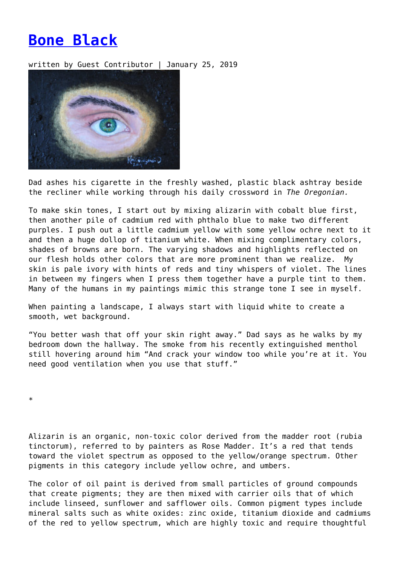## **[Bone Black](https://entropymag.org/bone-black/)**

written by Guest Contributor | January 25, 2019



Dad ashes his cigarette in the freshly washed, plastic black ashtray beside the recliner while working through his daily crossword in *The Oregonian.*

To make skin tones, I start out by mixing alizarin with cobalt blue first, then another pile of cadmium red with phthalo blue to make two different purples. I push out a little cadmium yellow with some yellow ochre next to it and then a huge dollop of titanium white. When mixing complimentary colors, shades of browns are born. The varying shadows and highlights reflected on our flesh holds other colors that are more prominent than we realize. My skin is pale ivory with hints of reds and tiny whispers of violet. The lines in between my fingers when I press them together have a purple tint to them. Many of the humans in my paintings mimic this strange tone I see in myself.

When painting a landscape, I always start with liquid white to create a smooth, wet background.

"You better wash that off your skin right away." Dad says as he walks by my bedroom down the hallway. The smoke from his recently extinguished menthol still hovering around him "And crack your window too while you're at it. You need good ventilation when you use that stuff."

\*

Alizarin is an organic, non-toxic color derived from the madder root (rubia tinctorum), referred to by painters as Rose Madder. It's a red that tends toward the violet spectrum as opposed to the yellow/orange spectrum. Other pigments in this category include yellow ochre, and umbers.

The color of oil paint is derived from small particles of ground compounds that create pigments; they are then mixed with carrier oils that of which include linseed, sunflower and safflower oils. Common pigment types include mineral salts such as white oxides: zinc oxide, titanium dioxide and cadmiums of the red to yellow spectrum, which are highly toxic and require thoughtful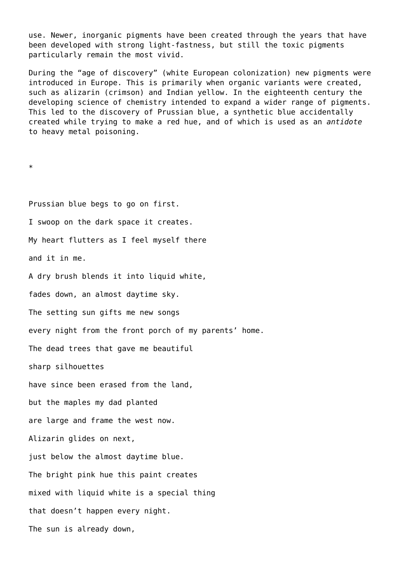use. Newer, inorganic pigments have been created through the years that have been developed with strong light-fastness, but still the toxic pigments particularly remain the most vivid.

During the "age of discovery" (white European colonization) new pigments were introduced in Europe. This is primarily when organic variants were created, such as alizarin (crimson) and Indian yellow. In the eighteenth century the developing science of chemistry intended to expand a wider range of pigments. This led to the discovery of Prussian blue, a synthetic blue accidentally created while trying to make a red hue, and of which is used as an *antidote* to heavy metal poisoning.

\*

Prussian blue begs to go on first. I swoop on the dark space it creates. My heart flutters as I feel myself there and it in me. A dry brush blends it into liquid white, fades down, an almost daytime sky. The setting sun gifts me new songs every night from the front porch of my parents' home. The dead trees that gave me beautiful sharp silhouettes have since been erased from the land, but the maples my dad planted are large and frame the west now. Alizarin glides on next, just below the almost daytime blue. The bright pink hue this paint creates mixed with liquid white is a special thing that doesn't happen every night. The sun is already down,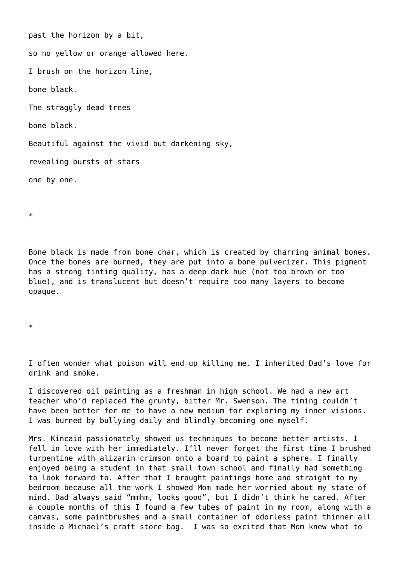past the horizon by a bit, so no yellow or orange allowed here. I brush on the horizon line, bone black. The straggly dead trees bone black. Beautiful against the vivid but darkening sky, revealing bursts of stars one by one.

\*

Bone black is made from bone char, which is created by charring animal bones. Once the bones are burned, they are put into a bone pulverizer. This pigment has a strong tinting quality, has a deep dark hue (not too brown or too blue), and is translucent but doesn't require too many layers to become opaque.

\*

I often wonder what poison will end up killing me. I inherited Dad's love for drink and smoke.

I discovered oil painting as a freshman in high school. We had a new art teacher who'd replaced the grunty, bitter Mr. Swenson. The timing couldn't have been better for me to have a new medium for exploring my inner visions. I was burned by bullying daily and blindly becoming one myself.

Mrs. Kincaid passionately showed us techniques to become better artists. I fell in love with her immediately. I'll never forget the first time I brushed turpentine with alizarin crimson onto a board to paint a sphere. I finally enjoyed being a student in that small town school and finally had something to look forward to. After that I brought paintings home and straight to my bedroom because all the work I showed Mom made her worried about my state of mind. Dad always said "mmhm, looks good", but I didn't think he cared. After a couple months of this I found a few tubes of paint in my room, along with a canvas, some paintbrushes and a small container of odorless paint thinner all inside a Michael's craft store bag. I was so excited that Mom knew what to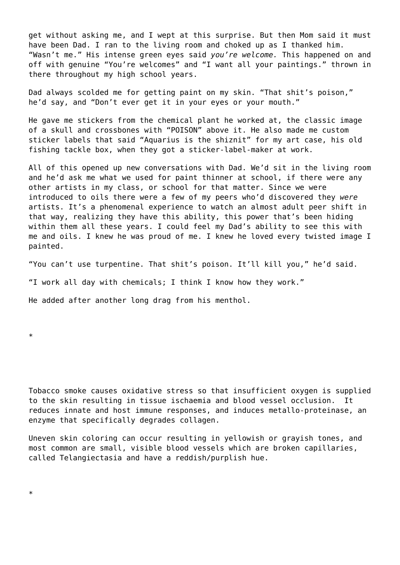get without asking me, and I wept at this surprise. But then Mom said it must have been Dad. I ran to the living room and choked up as I thanked him. "Wasn't me." His intense green eyes said *you're welcome.* This happened on and off with genuine "You're welcomes" and "I want all your paintings." thrown in there throughout my high school years.

Dad always scolded me for getting paint on my skin. "That shit's poison," he'd say, and "Don't ever get it in your eyes or your mouth."

He gave me stickers from the chemical plant he worked at, the classic image of a skull and crossbones with "POISON" above it. He also made me custom sticker labels that said "Aquarius is the shiznit" for my art case, his old fishing tackle box, when they got a sticker-label-maker at work.

All of this opened up new conversations with Dad. We'd sit in the living room and he'd ask me what we used for paint thinner at school, if there were any other artists in my class, or school for that matter. Since we were introduced to oils there were a few of my peers who'd discovered they *were* artists. It's a phenomenal experience to watch an almost adult peer shift in that way, realizing they have this ability, this power that's been hiding within them all these years. I could feel my Dad's ability to see this with me and oils. I knew he was proud of me. I knew he loved every twisted image I painted.

"You can't use turpentine. That shit's poison. It'll kill you," he'd said.

"I work all day with chemicals; I think I know how they work."

He added after another long drag from his menthol.

\*

Tobacco smoke causes oxidative stress so that insufficient oxygen is supplied to the skin resulting in tissue ischaemia and blood vessel occlusion. It reduces innate and host immune responses, and induces metallo-proteinase, an enzyme that specifically degrades collagen.

Uneven skin coloring can occur resulting in yellowish or grayish tones, and most common are small, visible blood vessels which are broken capillaries, called Telangiectasia and have a reddish/purplish hue.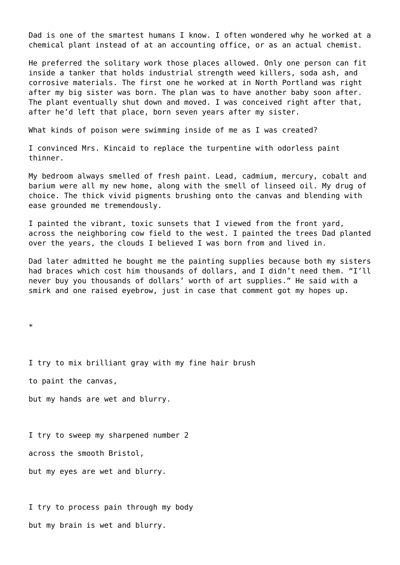Dad is one of the smartest humans I know. I often wondered why he worked at a chemical plant instead of at an accounting office, or as an actual chemist.

He preferred the solitary work those places allowed. Only one person can fit inside a tanker that holds industrial strength weed killers, soda ash, and corrosive materials. The first one he worked at in North Portland was right after my big sister was born. The plan was to have another baby soon after. The plant eventually shut down and moved. I was conceived right after that, after he'd left that place, born seven years after my sister.

What kinds of poison were swimming inside of me as I was created?

I convinced Mrs. Kincaid to replace the turpentine with odorless paint thinner.

My bedroom always smelled of fresh paint. Lead, cadmium, mercury, cobalt and barium were all my new home, along with the smell of linseed oil. My drug of choice. The thick vivid pigments brushing onto the canvas and blending with ease grounded me tremendously.

I painted the vibrant, toxic sunsets that I viewed from the front yard, across the neighboring cow field to the west. I painted the trees Dad planted over the years, the clouds I believed I was born from and lived in.

Dad later admitted he bought me the painting supplies because both my sisters had braces which cost him thousands of dollars, and I didn't need them. "I'll never buy you thousands of dollars' worth of art supplies." He said with a smirk and one raised eyebrow, just in case that comment got my hopes up.

\*

I try to mix brilliant gray with my fine hair brush

to paint the canvas,

but my hands are wet and blurry.

I try to sweep my sharpened number 2

across the smooth Bristol,

but my eyes are wet and blurry.

I try to process pain through my body but my brain is wet and blurry.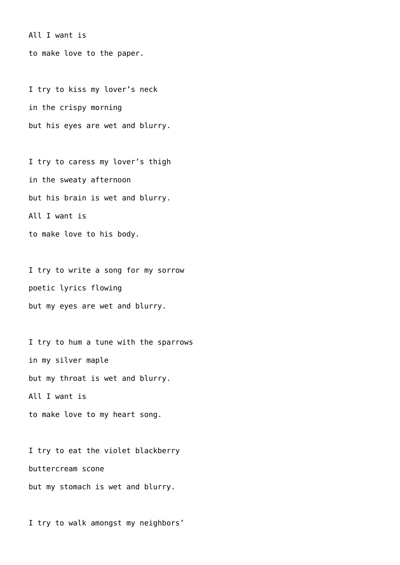All I want is

to make love to the paper.

I try to kiss my lover's neck in the crispy morning but his eyes are wet and blurry.

I try to caress my lover's thigh in the sweaty afternoon but his brain is wet and blurry. All I want is to make love to his body.

I try to write a song for my sorrow poetic lyrics flowing but my eyes are wet and blurry.

I try to hum a tune with the sparrows in my silver maple but my throat is wet and blurry. All I want is to make love to my heart song.

I try to eat the violet blackberry buttercream scone but my stomach is wet and blurry.

I try to walk amongst my neighbors'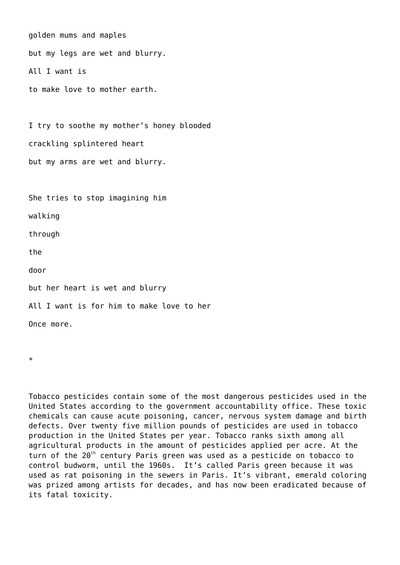```
golden mums and maples
but my legs are wet and blurry.
All I want is
to make love to mother earth.
```
I try to soothe my mother's honey blooded crackling splintered heart but my arms are wet and blurry.

She tries to stop imagining him

walking

through

the

door

but her heart is wet and blurry

All I want is for him to make love to her

Once more.

\*

Tobacco pesticides contain some of the most dangerous pesticides used in the United States according to the government accountability office. These toxic chemicals can cause acute poisoning, cancer, nervous system damage and birth defects. Over twenty five million pounds of pesticides are used in tobacco production in the United States per year. Tobacco ranks sixth among all agricultural products in the amount of pesticides applied per acre. At the turn of the  $20<sup>th</sup>$  century Paris green was used as a pesticide on tobacco to control budworm, until the 1960s. It's called Paris green because it was used as rat poisoning in the sewers in Paris. It's vibrant, emerald coloring was prized among artists for decades, and has now been eradicated because of its fatal toxicity.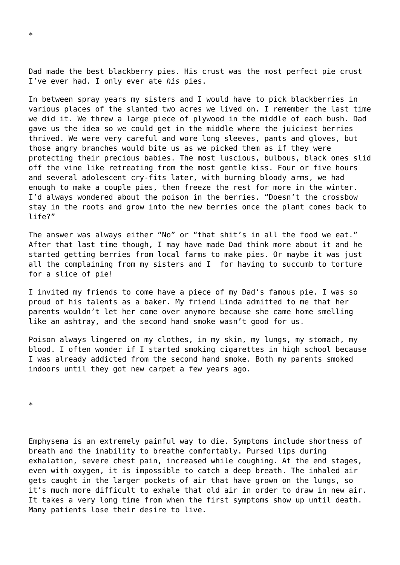Dad made the best blackberry pies. His crust was the most perfect pie crust I've ever had. I only ever ate *his* pies.

In between spray years my sisters and I would have to pick blackberries in various places of the slanted two acres we lived on. I remember the last time we did it. We threw a large piece of plywood in the middle of each bush. Dad gave us the idea so we could get in the middle where the juiciest berries thrived. We were very careful and wore long sleeves, pants and gloves, but those angry branches would bite us as we picked them as if they were protecting their precious babies. The most luscious, bulbous, black ones slid off the vine like retreating from the most gentle kiss. Four or five hours and several adolescent cry-fits later, with burning bloody arms, we had enough to make a couple pies, then freeze the rest for more in the winter. I'd always wondered about the poison in the berries. "Doesn't the crossbow stay in the roots and grow into the new berries once the plant comes back to life?"

The answer was always either "No" or "that shit's in all the food we eat." After that last time though, I may have made Dad think more about it and he started getting berries from local farms to make pies. Or maybe it was just all the complaining from my sisters and I for having to succumb to torture for a slice of pie!

I invited my friends to come have a piece of my Dad's famous pie. I was so proud of his talents as a baker. My friend Linda admitted to me that her parents wouldn't let her come over anymore because she came home smelling like an ashtray, and the second hand smoke wasn't good for us.

Poison always lingered on my clothes, in my skin, my lungs, my stomach, my blood. I often wonder if I started smoking cigarettes in high school because I was already addicted from the second hand smoke. Both my parents smoked indoors until they got new carpet a few years ago.

\*

Emphysema is an extremely painful way to die. Symptoms include shortness of breath and the inability to breathe comfortably. Pursed lips during exhalation, severe chest pain, increased while coughing. At the end stages, even with oxygen, it is impossible to catch a deep breath. The inhaled air gets caught in the larger pockets of air that have grown on the lungs, so it's much more difficult to exhale that old air in order to draw in new air. It takes a very long time from when the first symptoms show up until death. Many patients lose their desire to live.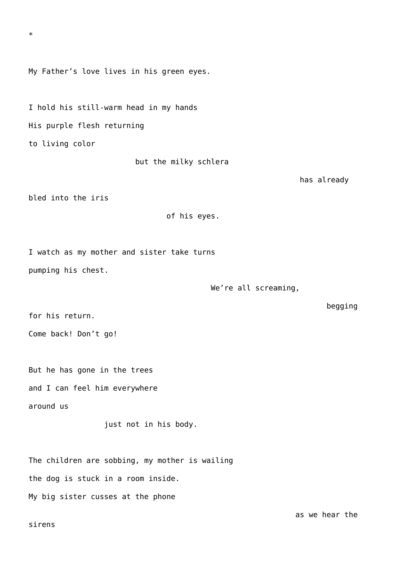sirens

My Father's love lives in his green eyes.

I hold his still-warm head in my hands His purple flesh returning to living color

but the milky schlera

has already

bled into the iris

\*

of his eyes.

I watch as my mother and sister take turns pumping his chest.

We're all screaming,

for his return.

Come back! Don't go!

But he has gone in the trees and I can feel him everywhere around us

just not in his body.

The children are sobbing, my mother is wailing the dog is stuck in a room inside. My big sister cusses at the phone

begging

as we hear the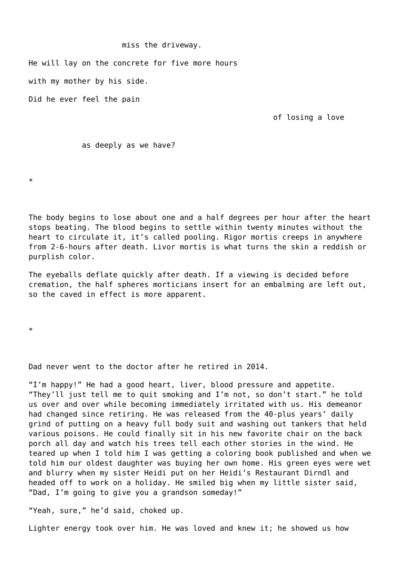## miss the driveway.

He will lay on the concrete for five more hours

with my mother by his side.

Did he ever feel the pain

of losing a love

## as deeply as we have?

\*

The body begins to lose about one and a half degrees per hour after the heart stops beating. The blood begins to settle within twenty minutes without the heart to circulate it, it's called pooling. Rigor mortis creeps in anywhere from 2-6-hours after death. Livor mortis is what turns the skin a reddish or purplish color.

The eyeballs deflate quickly after death. If a viewing is decided before cremation, the half spheres morticians insert for an embalming are left out, so the caved in effect is more apparent.

\*

Dad never went to the doctor after he retired in 2014.

"I'm happy!" He had a good heart, liver, blood pressure and appetite. "They'll just tell me to quit smoking and I'm not, so don't start." he told us over and over while becoming immediately irritated with us. His demeanor had changed since retiring. He was released from the 40-plus years' daily grind of putting on a heavy full body suit and washing out tankers that held various poisons. He could finally sit in his new favorite chair on the back porch all day and watch his trees tell each other stories in the wind. He teared up when I told him I was getting a coloring book published and when we told him our oldest daughter was buying her own home. His green eyes were wet and blurry when my sister Heidi put on her Heidi's Restaurant Dirndl and headed off to work on a holiday. He smiled big when my little sister said, "Dad, I'm going to give you a grandson someday!"

"Yeah, sure," he'd said, choked up.

Lighter energy took over him. He was loved and knew it; he showed us how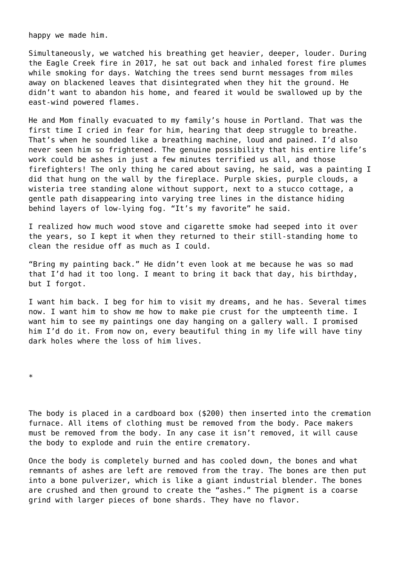happy we made him.

Simultaneously, we watched his breathing get heavier, deeper, louder. During the Eagle Creek fire in 2017, he sat out back and inhaled forest fire plumes while smoking for days. Watching the trees send burnt messages from miles away on blackened leaves that disintegrated when they hit the ground. He didn't want to abandon his home, and feared it would be swallowed up by the east-wind powered flames.

He and Mom finally evacuated to my family's house in Portland. That was the first time I cried in fear for him, hearing that deep struggle to breathe. That's when he sounded like a breathing machine, loud and pained. I'd also never seen him so frightened. The genuine possibility that his entire life's work could be ashes in just a few minutes terrified us all, and those firefighters! The only thing he cared about saving, he said, was a painting I did that hung on the wall by the fireplace. Purple skies, purple clouds, a wisteria tree standing alone without support, next to a stucco cottage, a gentle path disappearing into varying tree lines in the distance hiding behind layers of low-lying fog. "It's my favorite" he said.

I realized how much wood stove and cigarette smoke had seeped into it over the years, so I kept it when they returned to their still-standing home to clean the residue off as much as I could.

"Bring my painting back." He didn't even look at me because he was so mad that I'd had it too long. I meant to bring it back that day, his birthday, but I forgot.

I want him back. I beg for him to visit my dreams, and he has. Several times now. I want him to show me how to make pie crust for the umpteenth time. I want him to see my paintings one day hanging on a gallery wall. I promised him I'd do it. From now on, every beautiful thing in my life will have tiny dark holes where the loss of him lives.

\*

The body is placed in a cardboard box (\$200) then inserted into the cremation furnace. All items of clothing must be removed from the body. Pace makers must be removed from the body. In any case it isn't removed, it will cause the body to explode and ruin the entire crematory.

Once the body is completely burned and has cooled down, the bones and what remnants of ashes are left are removed from the tray. The bones are then put into a bone pulverizer, which is like a giant industrial blender. The bones are crushed and then ground to create the "ashes." The pigment is a coarse grind with larger pieces of bone shards. They have no flavor.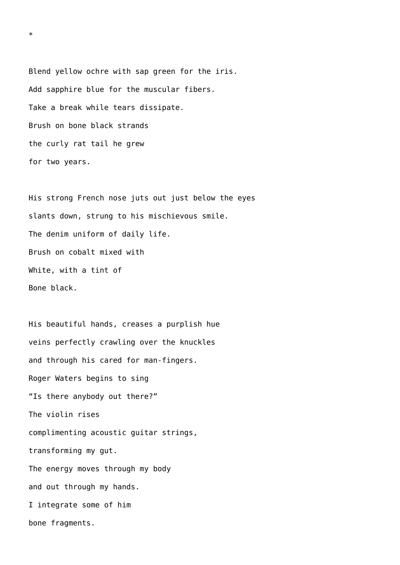Blend yellow ochre with sap green for the iris. Add sapphire blue for the muscular fibers. Take a break while tears dissipate. Brush on bone black strands the curly rat tail he grew for two years.

His strong French nose juts out just below the eyes slants down, strung to his mischievous smile. The denim uniform of daily life. Brush on cobalt mixed with White, with a tint of Bone black.

His beautiful hands, creases a purplish hue veins perfectly crawling over the knuckles and through his cared for man-fingers. Roger Waters begins to sing "Is there anybody out there?" The violin rises complimenting acoustic guitar strings, transforming my gut. The energy moves through my body and out through my hands. I integrate some of him bone fragments.